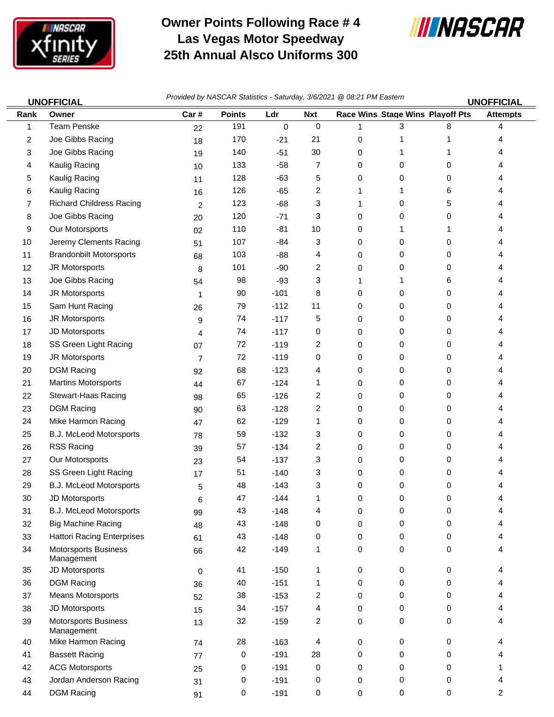

## **Owner Points Following Race # 4 Las Vegas Motor Speedway 25th Annual Alsco Uniforms 300**



44 DGM Racing 91 0 -191 0 0 0 0 2